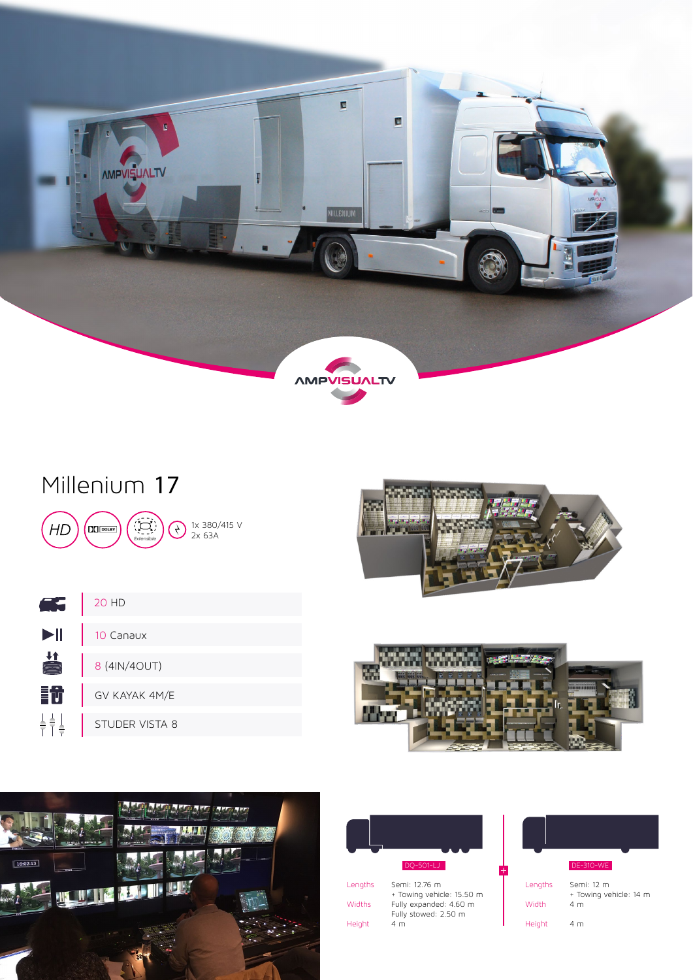

# Millenium 17





|                          | 20 HD          |
|--------------------------|----------------|
| $\blacktriangleright$ ll | 10 Canaux      |
| #                        | 8 (4IN/4OUT)   |
|                          | GV KAYAK 4M/E  |
|                          | STUDER VISTA 8 |



+





| Lengths | Semi: 12.76 m             |
|---------|---------------------------|
|         | + Towing vehicle: 15.50 m |
| Widths  | Fully expanded: 4.60 m    |
|         | Fully stowed: 2.50 m      |
| Height  | 4 m                       |

|         | DE-310-WE                            |
|---------|--------------------------------------|
| Lengths | Semi: 12 m<br>+ Towing vehicle: 14 m |
| Width   | 4 <sub>m</sub>                       |
| Height  | 4 m                                  |